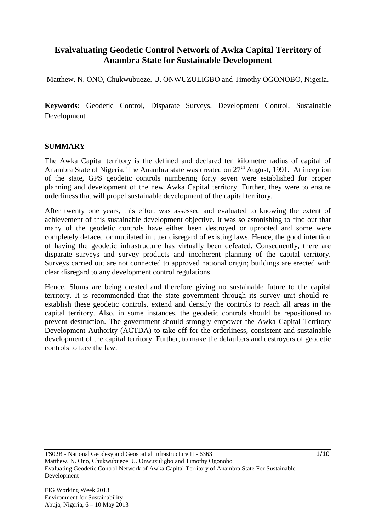### **Evalvaluating Geodetic Control Network of Awka Capital Territory of Anambra State for Sustainable Development**

Matthew. N. ONO, Chukwubueze. U. ONWUZULIGBO and Timothy OGONOBO, Nigeria.

**Keywords:** Geodetic Control, Disparate Surveys, Development Control, Sustainable Development

#### **SUMMARY**

The Awka Capital territory is the defined and declared ten kilometre radius of capital of Anambra State of Nigeria. The Anambra state was created on  $27<sup>th</sup>$  August, 1991. At inception of the state, GPS geodetic controls numbering forty seven were established for proper planning and development of the new Awka Capital territory. Further, they were to ensure orderliness that will propel sustainable development of the capital territory.

After twenty one years, this effort was assessed and evaluated to knowing the extent of achievement of this sustainable development objective. It was so astonishing to find out that many of the geodetic controls have either been destroyed or uprooted and some were completely defaced or mutilated in utter disregard of existing laws. Hence, the good intention of having the geodetic infrastructure has virtually been defeated. Consequently, there are disparate surveys and survey products and incoherent planning of the capital territory. Surveys carried out are not connected to approved national origin; buildings are erected with clear disregard to any development control regulations.

Hence, Slums are being created and therefore giving no sustainable future to the capital territory. It is recommended that the state government through its survey unit should reestablish these geodetic controls, extend and densify the controls to reach all areas in the capital territory. Also, in some instances, the geodetic controls should be repositioned to prevent destruction. The government should strongly empower the Awka Capital Territory Development Authority (ACTDA) to take-off for the orderliness, consistent and sustainable development of the capital territory. Further, to make the defaulters and destroyers of geodetic controls to face the law.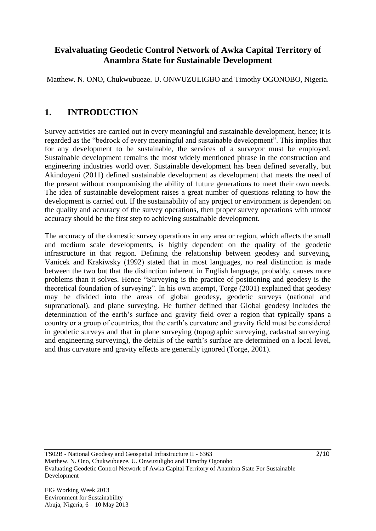## **Evalvaluating Geodetic Control Network of Awka Capital Territory of Anambra State for Sustainable Development**

Matthew. N. ONO, Chukwubueze. U. ONWUZULIGBO and Timothy OGONOBO, Nigeria.

# **1. INTRODUCTION**

Survey activities are carried out in every meaningful and sustainable development, hence; it is regarded as the "bedrock of every meaningful and sustainable development". This implies that for any development to be sustainable, the services of a surveyor must be employed. Sustainable development remains the most widely mentioned phrase in the construction and engineering industries world over. Sustainable development has been defined severally, but Akindoyeni (2011) defined sustainable development as development that meets the need of the present without compromising the ability of future generations to meet their own needs. The idea of sustainable development raises a great number of questions relating to how the development is carried out. If the sustainability of any project or environment is dependent on the quality and accuracy of the survey operations, then proper survey operations with utmost accuracy should be the first step to achieving sustainable development.

The accuracy of the domestic survey operations in any area or region, which affects the small and medium scale developments, is highly dependent on the quality of the geodetic infrastructure in that region. Defining the relationship between geodesy and surveying, Vanicek and Krakiwsky (1992) stated that in most languages, no real distinction is made between the two but that the distinction inherent in English language, probably, causes more problems than it solves. Hence "Surveying is the practice of positioning and geodesy is the theoretical foundation of surveying". In his own attempt, Torge (2001) explained that geodesy may be divided into the areas of global geodesy, geodetic surveys (national and supranational), and plane surveying. He further defined that Global geodesy includes the determination of the earth's surface and gravity field over a region that typically spans a country or a group of countries, that the earth"s curvature and gravity field must be considered in geodetic surveys and that in plane surveying (topographic surveying, cadastral surveying, and engineering surveying), the details of the earth's surface are determined on a local level, and thus curvature and gravity effects are generally ignored (Torge, 2001).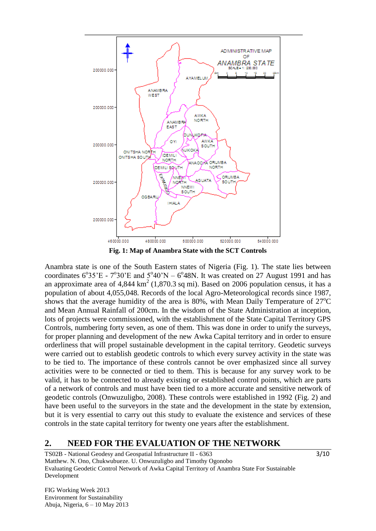

**Fig. 1: Map of Anambra State with the SCT Controls** 

Anambra state is one of the South Eastern states of Nigeria (Fig. 1). The state lies between coordinates  $6^{\circ}35^{\circ}$ E -  $7^{\circ}30^{\circ}$ E and  $5^{\circ}40^{\circ}$ N –  $6^{\circ}48$ N. It was created on 27 August 1991 and has an approximate area of  $4,844 \text{ km}^2$  (1,870.3 sq mi). Based on 2006 population census, it has a population of about 4,055,048. Records of the local Agro-Meteorological records since 1987, shows that the average humidity of the area is  $80\%$ , with Mean Daily Temperature of  $27^{\circ}$ C and Mean Annual Rainfall of 200cm. In the wisdom of the State Administration at inception, lots of projects were commissioned, with the establishment of the State Capital Territory GPS Controls, numbering forty seven, as one of them. This was done in order to unify the surveys, for proper planning and development of the new Awka Capital territory and in order to ensure orderliness that will propel sustainable development in the capital territory. Geodetic surveys were carried out to establish geodetic controls to which every survey activity in the state was to be tied to. The importance of these controls cannot be over emphasized since all survey activities were to be connected or tied to them. This is because for any survey work to be valid, it has to be connected to already existing or established control points, which are parts of a network of controls and must have been tied to a more accurate and sensitive network of geodetic controls (Onwuzuligbo, 2008). These controls were established in 1992 (Fig. 2) and have been useful to the surveyors in the state and the development in the state by extension, but it is very essential to carry out this study to evaluate the existence and services of these controls in the state capital territory for twenty one years after the establishment.

#### **2. NEED FOR THE EVALUATION OF THE NETWORK**

TS02B - National Geodesy and Geospatial Infrastructure II - 6363 Matthew. N. Ono, Chukwubueze. U. Onwuzuligbo and Timothy Ogonobo Evaluating Geodetic Control Network of Awka Capital Territory of Anambra State For Sustainable Development

FIG Working Week 2013 Environment for Sustainability Abuja, Nigeria, 6 – 10 May 2013  $3/10$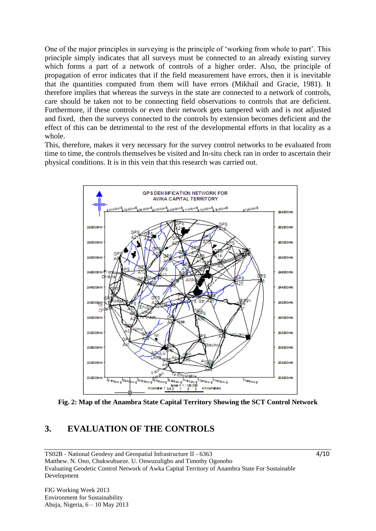One of the major principles in surveying is the principle of "working from whole to part". This principle simply indicates that all surveys must be connected to an already existing survey which forms a part of a network of controls of a higher order. Also, the principle of propagation of error indicates that if the field measurement have errors, then it is inevitable that the quantities computed from them will have errors (Mikhail and Gracie, 1981). It therefore implies that whereas the surveys in the state are connected to a network of controls, care should be taken not to be connecting field observations to controls that are deficient. Furthermore, if these controls or even their network gets tampered with and is not adjusted and fixed, then the surveys connected to the controls by extension becomes deficient and the effect of this can be detrimental to the rest of the developmental efforts in that locality as a whole.

This, therefore, makes it very necessary for the survey control networks to be evaluated from time to time, the controls themselves be visited and In-situ check ran in order to ascertain their physical conditions. It is in this vein that this research was carried out.



**Fig. 2: Map of the Anambra State Capital Territory Showing the SCT Control Network**

# **3. EVALUATION OF THE CONTROLS**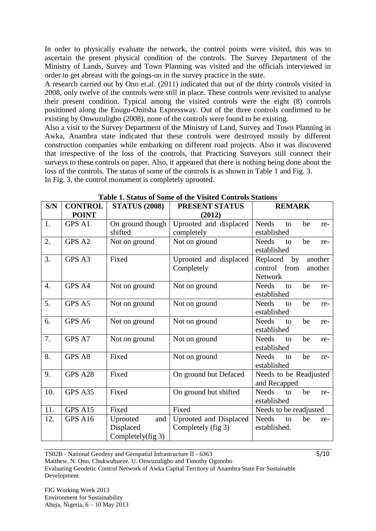In order to physically evaluate the network, the control points were visited, this was to ascertain the present physical condition of the controls. The Survey Department of the Ministry of Lands, Survey and Town Planning was visited and the officials interviewed in order to get abreast with the goings-on in the survey practice in the state.

A research carried out by Ono et.al. (2011) indicated that out of the thirty controls visited in 2008, only twelve of the controls were still in place. These controls were revisited to analyse their present condition. Typical among the visited controls were the eight (8) controls positioned along the Enugu-Onitsha Expressway. Out of the three controls confirmed to be existing by Onwuzuligbo (2008), none of the controls were found to be existing.

Also a visit to the Survey Department of the Ministry of Land, Survey and Town Planning in Awka, Anambra state indicated that these controls were destroyed mostly by different construction companies while embarking on different road projects. Also it was discovered that irrespective of the loss of the controls, that Practicing Surveyors still connect their surveys to these controls on paper. Also, it appeared that there is nothing being done about the loss of the controls. The status of some of the controls is as shown in Table 1 and Fig. 3. In Fig. 3, the control monument is completely uprooted.

| S/N | <b>CONTROL</b> | <b>STATUS (2008)</b> | PRESENT STATUS         | <b>REMARK</b>                   |  |  |  |
|-----|----------------|----------------------|------------------------|---------------------------------|--|--|--|
|     | <b>POINT</b>   |                      | (2012)                 |                                 |  |  |  |
| 1.  | GPS A1         | On ground though     | Uprooted and displaced | <b>Needs</b><br>be<br>to<br>re- |  |  |  |
|     |                | shifted              | completely             | established                     |  |  |  |
| 2.  | GPS A2         | Not on ground        | Not on ground          | <b>Needs</b><br>be<br>to<br>re- |  |  |  |
|     |                |                      |                        | established                     |  |  |  |
| 3.  | GPS A3         | Fixed                | Uprooted and displaced | Replaced<br>by<br>another       |  |  |  |
|     |                |                      | Completely             | from<br>another<br>control      |  |  |  |
|     |                |                      |                        | <b>Network</b>                  |  |  |  |
| 4.  | GPS A4         | Not on ground        | Not on ground          | <b>Needs</b><br>be<br>to<br>re- |  |  |  |
|     |                |                      |                        | established                     |  |  |  |
| 5.  | GPS A5         | Not on ground        | Not on ground          | <b>Needs</b><br>be<br>to<br>re- |  |  |  |
|     |                |                      |                        | established                     |  |  |  |
| 6.  | GPS A6         | Not on ground        | Not on ground          | <b>Needs</b><br>be<br>to<br>re- |  |  |  |
|     |                |                      |                        | established                     |  |  |  |
| 7.  | GPS A7         | Not on ground        | Not on ground          | <b>Needs</b><br>be<br>to<br>re- |  |  |  |
|     |                |                      |                        | established                     |  |  |  |
| 8.  | GPS A8         | Fixed                | Not on ground          | <b>Needs</b><br>be<br>to<br>re- |  |  |  |
|     |                |                      |                        | established                     |  |  |  |
| 9.  | GPS A28        | Fixed                | On ground but Defaced  | Needs to be Readjusted          |  |  |  |
|     |                |                      |                        | and Recapped                    |  |  |  |
| 10. | GPS A35        | Fixed                | On ground but shifted  | <b>Needs</b><br>be<br>to<br>re- |  |  |  |
|     |                |                      |                        | established                     |  |  |  |
| 11. | GPS A15        | Fixed                | Fixed                  | Needs to be readjusted          |  |  |  |
| 12. | GPS A16        | Uprooted<br>and      | Uprooted and Displaced | <b>Needs</b><br>be<br>to<br>re- |  |  |  |
|     |                | Displaced            | Completely (fig 3)     | established.                    |  |  |  |
|     |                | Completely(fig 3)    |                        |                                 |  |  |  |

TS02B - National Geodesy and Geospatial Infrastructure II - 6363

 $5/10$ 

Matthew. N. Ono, Chukwubueze. U. Onwuzuligbo and Timothy Ogonobo Evaluating Geodetic Control Network of Awka Capital Territory of Anambra State For Sustainable Development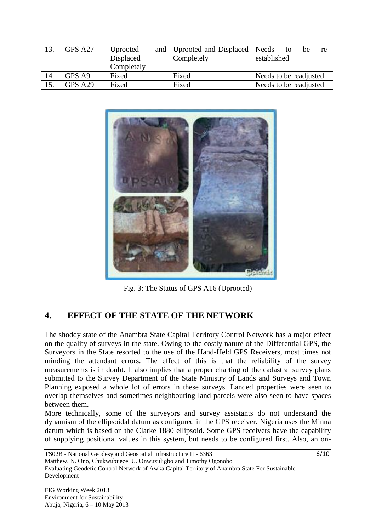|     | GPS A27 | Uprooted   | and   Uprooted and Displaced   Needs |                        | to | be | re- |
|-----|---------|------------|--------------------------------------|------------------------|----|----|-----|
|     |         | Displaced  | Completely                           | established            |    |    |     |
|     |         | Completely |                                      |                        |    |    |     |
| 14. | GPS A9  | Fixed      | Fixed                                | Needs to be readjusted |    |    |     |
| 15. | GPS A29 | Fixed      | Fixed                                | Needs to be readjusted |    |    |     |



Fig. 3: The Status of GPS A16 (Uprooted)

# **4. EFFECT OF THE STATE OF THE NETWORK**

The shoddy state of the Anambra State Capital Territory Control Network has a major effect on the quality of surveys in the state. Owing to the costly nature of the Differential GPS, the Surveyors in the State resorted to the use of the Hand-Held GPS Receivers, most times not minding the attendant errors. The effect of this is that the reliability of the survey measurements is in doubt. It also implies that a proper charting of the cadastral survey plans submitted to the Survey Department of the State Ministry of Lands and Surveys and Town Planning exposed a whole lot of errors in these surveys. Landed properties were seen to overlap themselves and sometimes neighbouring land parcels were also seen to have spaces between them.

More technically, some of the surveyors and survey assistants do not understand the dynamism of the ellipsoidal datum as configured in the GPS receiver. Nigeria uses the Minna datum which is based on the Clarke 1880 ellipsoid. Some GPS receivers have the capability of supplying positional values in this system, but needs to be configured first. Also, an on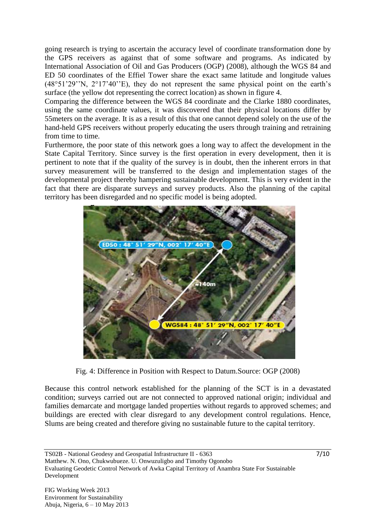going research is trying to ascertain the accuracy level of coordinate transformation done by the GPS receivers as against that of some software and programs. As indicated by International Association of Oil and Gas Producers (OGP) (2008), although the WGS 84 and ED 50 coordinates of the Effiel Tower share the exact same latitude and longitude values  $(48°51'29''N, 2°17'40''E)$ , they do not represent the same physical point on the earth's surface (the yellow dot representing the correct location) as shown in figure 4.

Comparing the difference between the WGS 84 coordinate and the Clarke 1880 coordinates, using the same coordinate values, it was discovered that their physical locations differ by 55meters on the average. It is as a result of this that one cannot depend solely on the use of the hand-held GPS receivers without properly educating the users through training and retraining from time to time.

Furthermore, the poor state of this network goes a long way to affect the development in the State Capital Territory. Since survey is the first operation in every development, then it is pertinent to note that if the quality of the survey is in doubt, then the inherent errors in that survey measurement will be transferred to the design and implementation stages of the developmental project thereby hampering sustainable development. This is very evident in the fact that there are disparate surveys and survey products. Also the planning of the capital territory has been disregarded and no specific model is being adopted.



Fig. 4: Difference in Position with Respect to Datum.Source: OGP (2008)

Because this control network established for the planning of the SCT is in a devastated condition; surveys carried out are not connected to approved national origin; individual and families demarcate and mortgage landed properties without regards to approved schemes; and buildings are erected with clear disregard to any development control regulations. Hence, Slums are being created and therefore giving no sustainable future to the capital territory.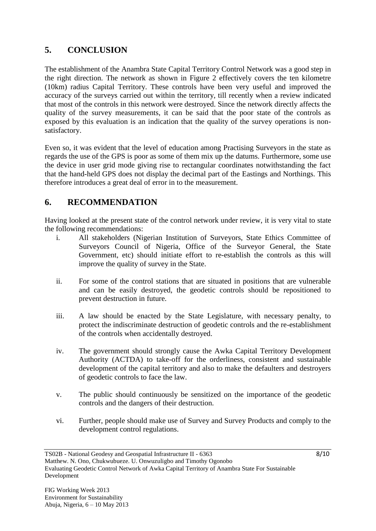# **5. CONCLUSION**

The establishment of the Anambra State Capital Territory Control Network was a good step in the right direction. The network as shown in Figure 2 effectively covers the ten kilometre (10km) radius Capital Territory. These controls have been very useful and improved the accuracy of the surveys carried out within the territory, till recently when a review indicated that most of the controls in this network were destroyed. Since the network directly affects the quality of the survey measurements, it can be said that the poor state of the controls as exposed by this evaluation is an indication that the quality of the survey operations is nonsatisfactory.

Even so, it was evident that the level of education among Practising Surveyors in the state as regards the use of the GPS is poor as some of them mix up the datums. Furthermore, some use the device in user grid mode giving rise to rectangular coordinates notwithstanding the fact that the hand-held GPS does not display the decimal part of the Eastings and Northings. This therefore introduces a great deal of error in to the measurement.

## **6. RECOMMENDATION**

Having looked at the present state of the control network under review, it is very vital to state the following recommendations:

- i. All stakeholders (Nigerian Institution of Surveyors, State Ethics Committee of Surveyors Council of Nigeria, Office of the Surveyor General, the State Government, etc) should initiate effort to re-establish the controls as this will improve the quality of survey in the State.
- ii. For some of the control stations that are situated in positions that are vulnerable and can be easily destroyed, the geodetic controls should be repositioned to prevent destruction in future.
- iii. A law should be enacted by the State Legislature, with necessary penalty, to protect the indiscriminate destruction of geodetic controls and the re-establishment of the controls when accidentally destroyed.
- iv. The government should strongly cause the Awka Capital Territory Development Authority (ACTDA) to take-off for the orderliness, consistent and sustainable development of the capital territory and also to make the defaulters and destroyers of geodetic controls to face the law.
- v. The public should continuously be sensitized on the importance of the geodetic controls and the dangers of their destruction.
- vi. Further, people should make use of Survey and Survey Products and comply to the development control regulations.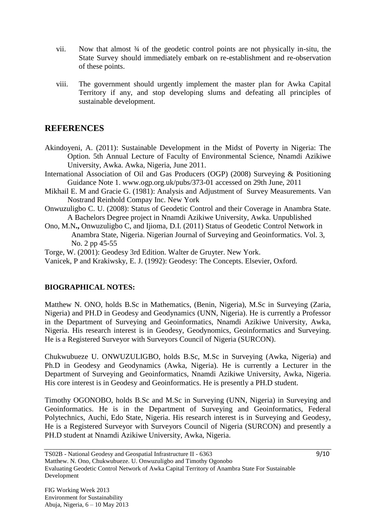- vii. Now that almost ¾ of the geodetic control points are not physically in-situ, the State Survey should immediately embark on re-establishment and re-observation of these points.
- viii. The government should urgently implement the master plan for Awka Capital Territory if any, and stop developing slums and defeating all principles of sustainable development.

### **REFERENCES**

- Akindoyeni, A. (2011): Sustainable Development in the Midst of Poverty in Nigeria: The Option. 5th Annual Lecture of Faculty of Environmental Science, Nnamdi Azikiwe University, Awka. Awka, Nigeria, June 2011.
- International Association of Oil and Gas Producers (OGP) (2008) Surveying & Positioning Guidance Note 1. [www.ogp.org.uk/pubs/373-01](http://www.ogp.org.uk/pubs/373-01) accessed on 29th June, 2011
- Mikhail E. M and Gracie G. (1981): Analysis and Adjustment of Survey Measurements. Van Nostrand Reinhold Compay Inc. New York
- Onwuzuligbo C. U. (2008): Status of Geodetic Control and their Coverage in Anambra State. A Bachelors Degree project in Nnamdi Azikiwe University, Awka. Unpublished
- Ono, M.N**.,** Onwuzuligbo C, and Ijioma, D.I. (2011) Status of Geodetic Control Network in Anambra State, Nigeria. Nigerian Journal of Surveying and Geoinformatics. Vol. 3, No. 2 pp 45-55
- Torge, W. (2001): Geodesy 3rd Edition. Walter de Gruyter. New York.
- Vanicek, P and Krakiwsky, E. J. (1992): Geodesy: The Concepts. Elsevier, Oxford.

#### **BIOGRAPHICAL NOTES:**

Matthew N. ONO, holds B.Sc in Mathematics, (Benin, Nigeria), M.Sc in Surveying (Zaria, Nigeria) and PH.D in Geodesy and Geodynamics (UNN, Nigeria). He is currently a Professor in the Department of Surveying and Geoinformatics, Nnamdi Azikiwe University, Awka, Nigeria. His research interest is in Geodesy, Geodynomics, Geoinformatics and Surveying. He is a Registered Surveyor with Surveyors Council of Nigeria (SURCON).

Chukwubueze U. ONWUZULIGBO, holds B.Sc, M.Sc in Surveying (Awka, Nigeria) and Ph.D in Geodesy and Geodynamics (Awka, Nigeria). He is currently a Lecturer in the Department of Surveying and Geoinformatics, Nnamdi Azikiwe University, Awka, Nigeria. His core interest is in Geodesy and Geoinformatics. He is presently a PH.D student.

Timothy OGONOBO, holds B.Sc and M.Sc in Surveying (UNN, Nigeria) in Surveying and Geoinformatics. He is in the Department of Surveying and Geoinformatics, Federal Polytechnics, Auchi, Edo State, Nigeria. His research interest is in Surveying and Geodesy, He is a Registered Surveyor with Surveyors Council of Nigeria (SURCON) and presently a PH.D student at Nnamdi Azikiwe University, Awka, Nigeria.